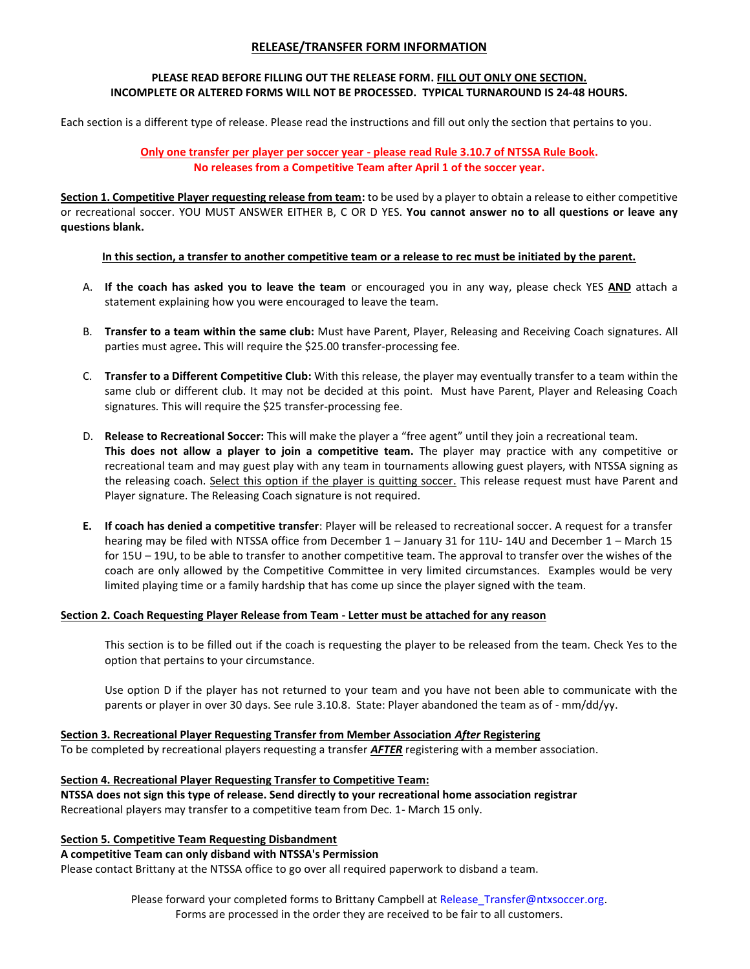# **RELEASE/TRANSFER FORM INFORMATION**

## **PLEASE READ BEFORE FILLING OUT THE RELEASE FORM. FILL OUT ONLY ONE SECTION. INCOMPLETE OR ALTERED FORMS WILL NOT BE PROCESSED. TYPICAL TURNAROUND IS 24-48 HOURS.**

Each section is a different type of release. Please read the instructions and fill out only the section that pertains to you.

**Only one transfer per player per soccer year - please read Rule 3.10.7 of NTSSA Rule Book. No releases from a Competitive Team after April 1 of the soccer year.**

**Section 1. Competitive Player requesting release from team:** to be used by a player to obtain a release to either competitive or recreational soccer. YOU MUST ANSWER EITHER B, C OR D YES. **You cannot answer no to all questions or leave any questions blank.**

# **In this section, a transfer to another competitive team or a release to rec must be initiated by the parent.**

- A. **If the coach has asked you to leave the team** or encouraged you in any way, please check YES **AND** attach a statement explaining how you were encouraged to leave the team.
- B. **Transfer to a team within the same club:** Must have Parent, Player, Releasing and Receiving Coach signatures. All parties must agree**.** This will require the \$25.00 transfer-processing fee.
- C. **Transfer to a Different Competitive Club:** With this release, the player may eventually transfer to a team within the same club or different club. It may not be decided at this point. Must have Parent, Player and Releasing Coach signatures*.* This will require the \$25 transfer-processing fee.
- D. **Release to Recreational Soccer:** This will make the player a "free agent" until they join a recreational team. **This does not allow a player to join a competitive team.** The player may practice with any competitive or recreational team and may guest play with any team in tournaments allowing guest players, with NTSSA signing as the releasing coach. Select this option if the player is quitting soccer. This release request must have Parent and Player signature. The Releasing Coach signature is not required.
- **E. If coach has denied a competitive transfer**: Player will be released to recreational soccer. A request for a transfer hearing may be filed with NTSSA office from December 1 – January 31 for 11U- 14U and December 1 – March 15 for 15U – 19U, to be able to transfer to another competitive team. The approval to transfer over the wishes of the coach are only allowed by the Competitive Committee in very limited circumstances. Examples would be very limited playing time or a family hardship that has come up since the player signed with the team.

## **Section 2. Coach Requesting Player Release from Team - Letter must be attached for any reason**

This section is to be filled out if the coach is requesting the player to be released from the team. Check Yes to the option that pertains to your circumstance.

Use option D if the player has not returned to your team and you have not been able to communicate with the parents or player in over 30 days. See rule 3.10.8. State: Player abandoned the team as of - mm/dd/yy.

## **Section 3. Recreational Player Requesting Transfer from Member Association** *After* **Registering**

To be completed by recreational players requesting a transfer *AFTER* registering with a member association.

# **Section 4. Recreational Player Requesting Transfer to Competitive Team:**

**NTSSA does not sign this type of release. Send directly to your recreational home association registrar** Recreational players may transfer to a competitive team from Dec. 1- March 15 only.

## **Section 5. Competitive Team Requesting Disbandment**

## **A competitive Team can only disband with NTSSA's Permission**

Please contact Brittany at the NTSSA office to go over all required paperwork to disband a team.

Please forward your completed forms to Brittany Campbell at Release Transfer@ntxsoccer.org. Forms are processed in the order they are received to be fair to all customers.